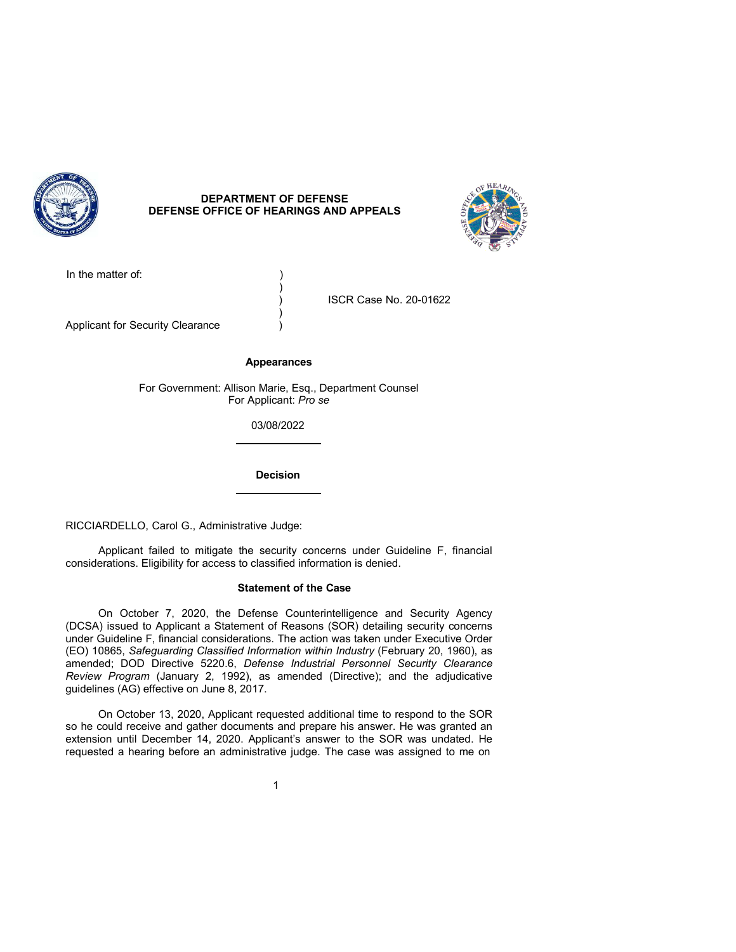

# **DEPARTMENT OF DEFENSE DEFENSE OFFICE OF HEARINGS AND APPEALS**



In the matter of:

) ISCR Case No. 20-01622

Applicant for Security Clearance )

### **Appearances**

)

)

For Government: Allison Marie, Esq., Department Counsel For Applicant: *Pro se* 

03/08/2022

**Decision** 

RICCIARDELLO, Carol G., Administrative Judge:

Applicant failed to mitigate the security concerns under Guideline F, financial considerations. Eligibility for access to classified information is denied.

## **Statement of the Case**

On October 7, 2020, the Defense Counterintelligence and Security Agency (DCSA) issued to Applicant a Statement of Reasons (SOR) detailing security concerns under Guideline F, financial considerations. The action was taken under Executive Order (EO) 10865, *Safeguarding Classified Information within Industry* (February 20, 1960), as amended; DOD Directive 5220.6, *Defense Industrial Personnel Security Clearance Review Program* (January 2, 1992), as amended (Directive); and the adjudicative guidelines (AG) effective on June 8, 2017.

On October 13, 2020, Applicant requested additional time to respond to the SOR so he could receive and gather documents and prepare his answer. He was granted an extension until December 14, 2020. Applicant's answer to the SOR was undated. He requested a hearing before an administrative judge. The case was assigned to me on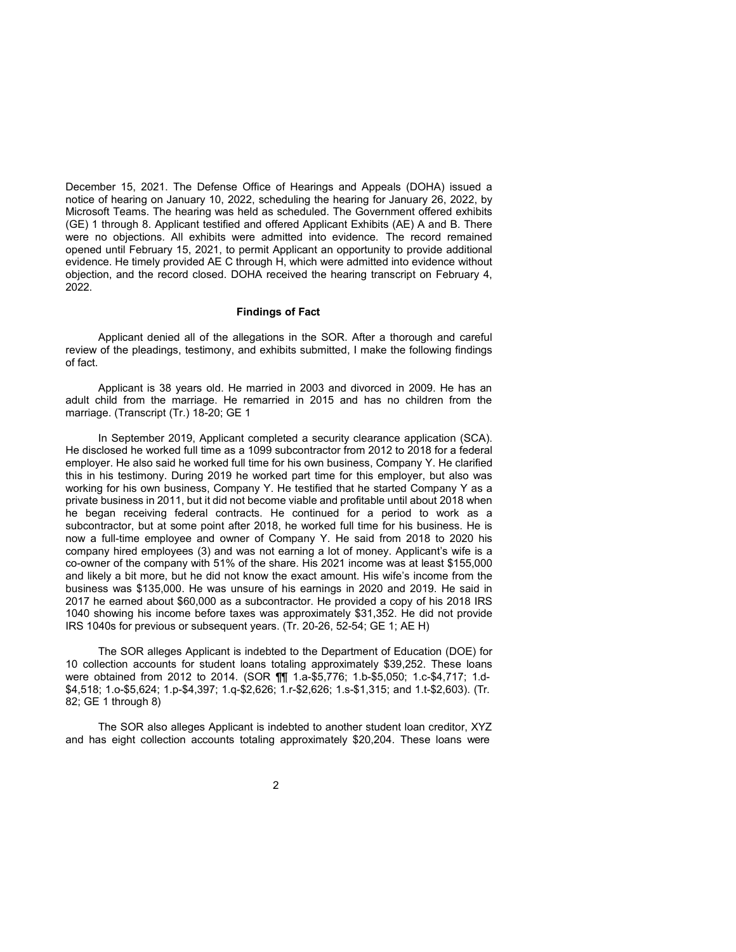December 15, 2021. The Defense Office of Hearings and Appeals (DOHA) issued a notice of hearing on January 10, 2022, scheduling the hearing for January 26, 2022, by Microsoft Teams. The hearing was held as scheduled. The Government offered exhibits (GE) 1 through 8. Applicant testified and offered Applicant Exhibits (AE) A and B. There were no objections. All exhibits were admitted into evidence. The record remained opened until February 15, 2021, to permit Applicant an opportunity to provide additional evidence. He timely provided AE C through H, which were admitted into evidence without objection, and the record closed. DOHA received the hearing transcript on February 4, 2022.

## **Findings of Fact**

Applicant denied all of the allegations in the SOR. After a thorough and careful review of the pleadings, testimony, and exhibits submitted, I make the following findings of fact.

Applicant is 38 years old. He married in 2003 and divorced in 2009. He has an adult child from the marriage. He remarried in 2015 and has no children from the marriage. (Transcript (Tr.) 18-20; GE 1

In September 2019, Applicant completed a security clearance application (SCA). He disclosed he worked full time as a 1099 subcontractor from 2012 to 2018 for a federal employer. He also said he worked full time for his own business, Company Y. He clarified this in his testimony. During 2019 he worked part time for this employer, but also was working for his own business, Company Y. He testified that he started Company Y as a private business in 2011, but it did not become viable and profitable until about 2018 when he began receiving federal contracts. He continued for a period to work as a subcontractor, but at some point after 2018, he worked full time for his business. He is now a full-time employee and owner of Company Y. He said from 2018 to 2020 his company hired employees (3) and was not earning a lot of money. Applicant's wife is a co-owner of the company with 51% of the share. His 2021 income was at least \$155,000 and likely a bit more, but he did not know the exact amount. His wife's income from the business was \$135,000. He was unsure of his earnings in 2020 and 2019. He said in 2017 he earned about \$60,000 as a subcontractor. He provided a copy of his 2018 IRS 1040 showing his income before taxes was approximately \$31,352. He did not provide IRS 1040s for previous or subsequent years. (Tr. 20-26, 52-54; GE 1; AE H)

The SOR alleges Applicant is indebted to the Department of Education (DOE) for 10 collection accounts for student loans totaling approximately \$39,252. These loans were obtained from 2012 to 2014. (SOR ¶¶ 1.a-\$5,776; 1.b-\$5,050; 1.c-\$4,717; 1.d- \$4,518; 1.o-\$5,624; 1.p-\$4,397; 1.q-\$2,626; 1.r-\$2,626; 1.s-\$1,315; and 1.t-\$2,603). (Tr. 82; GE 1 through 8)

The SOR also alleges Applicant is indebted to another student loan creditor, XYZ and has eight collection accounts totaling approximately \$20,204. These loans were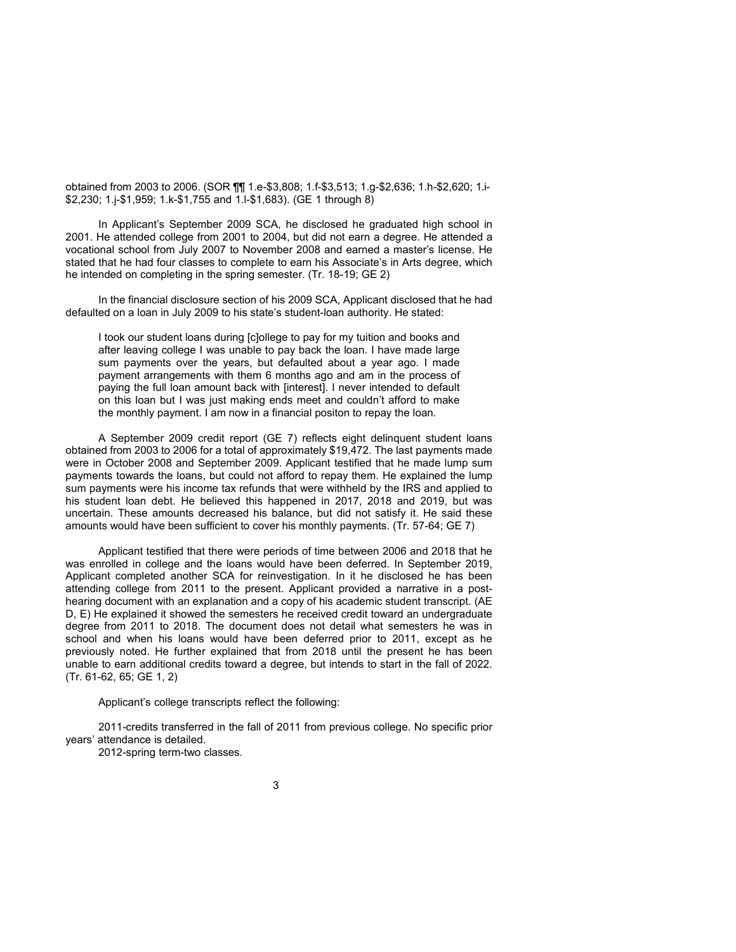obtained from 2003 to 2006. (SOR ¶¶ 1.e-\$3,808; 1.f-\$3,513; 1.g-\$2,636; 1.h-\$2,620; 1.i- \$2,230; 1.j-\$1,959; 1.k-\$1,755 and 1.l-\$1,683). (GE 1 through 8)

In Applicant's September 2009 SCA, he disclosed he graduated high school in 2001. He attended college from 2001 to 2004, but did not earn a degree. He attended a vocational school from July 2007 to November 2008 and earned a master's license. He stated that he had four classes to complete to earn his Associate's in Arts degree, which he intended on completing in the spring semester. (Tr. 18-19; GE 2)

In the financial disclosure section of his 2009 SCA, Applicant disclosed that he had defaulted on a loan in July 2009 to his state's student-loan authority. He stated:

I took our student loans during [c]ollege to pay for my tuition and books and after leaving college I was unable to pay back the loan. I have made large sum payments over the years, but defaulted about a year ago. I made payment arrangements with them 6 months ago and am in the process of paying the full loan amount back with [interest]. I never intended to default on this loan but I was just making ends meet and couldn't afford to make the monthly payment. I am now in a financial positon to repay the loan.

A September 2009 credit report (GE 7) reflects eight delinquent student loans obtained from 2003 to 2006 for a total of approximately \$19,472. The last payments made were in October 2008 and September 2009. Applicant testified that he made lump sum payments towards the loans, but could not afford to repay them. He explained the lump sum payments were his income tax refunds that were withheld by the IRS and applied to his student loan debt. He believed this happened in 2017, 2018 and 2019, but was uncertain. These amounts decreased his balance, but did not satisfy it. He said these amounts would have been sufficient to cover his monthly payments. (Tr. 57-64; GE 7)

Applicant testified that there were periods of time between 2006 and 2018 that he was enrolled in college and the loans would have been deferred. In September 2019, Applicant completed another SCA for reinvestigation. In it he disclosed he has been attending college from 2011 to the present. Applicant provided a narrative in a posthearing document with an explanation and a copy of his academic student transcript. (AE D, E) He explained it showed the semesters he received credit toward an undergraduate degree from 2011 to 2018. The document does not detail what semesters he was in school and when his loans would have been deferred prior to 2011, except as he previously noted. He further explained that from 2018 until the present he has been unable to earn additional credits toward a degree, but intends to start in the fall of 2022. (Tr. 61-62, 65; GE 1, 2)

Applicant's college transcripts reflect the following:

2011-credits transferred in the fall of 2011 from previous college. No specific prior years' attendance is detailed.

2012-spring term-two classes.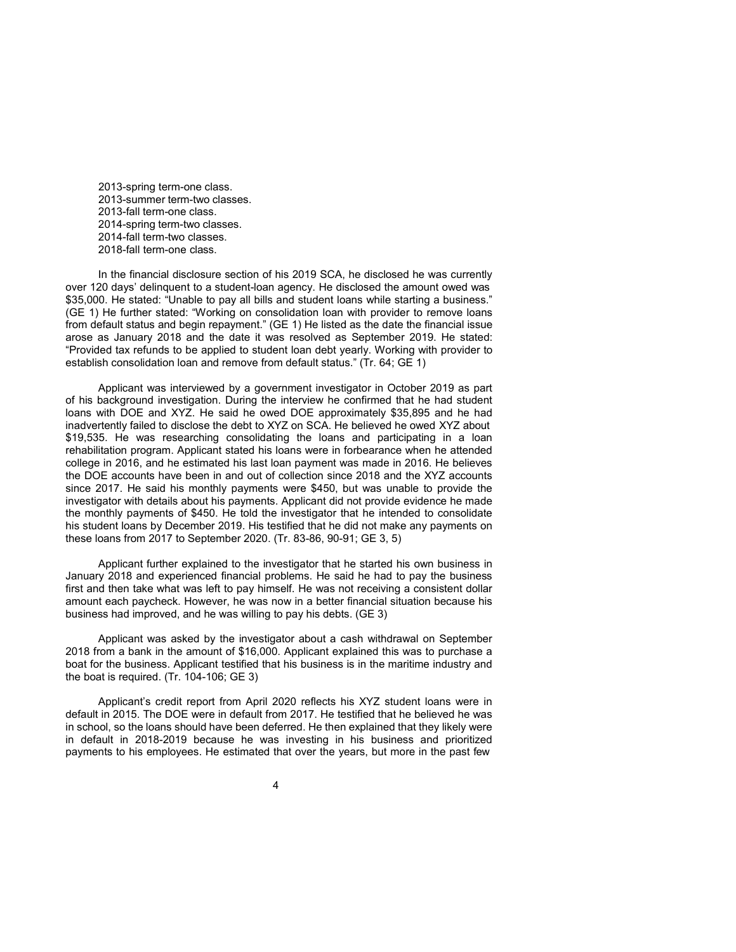2013-spring term-one class. 2013-summer term-two classes. 2013-fall term-one class. 2014-spring term-two classes. 2014-fall term-two classes. 2018-fall term-one class.

In the financial disclosure section of his 2019 SCA, he disclosed he was currently over 120 days' delinquent to a student-loan agency. He disclosed the amount owed was \$35,000. He stated: "Unable to pay all bills and student loans while starting a business." (GE 1) He further stated: "Working on consolidation loan with provider to remove loans from default status and begin repayment." (GE 1) He listed as the date the financial issue arose as January 2018 and the date it was resolved as September 2019. He stated: "Provided tax refunds to be applied to student loan debt yearly. Working with provider to establish consolidation loan and remove from default status." (Tr. 64; GE 1)

Applicant was interviewed by a government investigator in October 2019 as part of his background investigation. During the interview he confirmed that he had student loans with DOE and XYZ. He said he owed DOE approximately \$35,895 and he had inadvertently failed to disclose the debt to XYZ on SCA. He believed he owed XYZ about \$19,535. He was researching consolidating the loans and participating in a loan rehabilitation program. Applicant stated his loans were in forbearance when he attended college in 2016, and he estimated his last loan payment was made in 2016. He believes the DOE accounts have been in and out of collection since 2018 and the XYZ accounts since 2017. He said his monthly payments were \$450, but was unable to provide the investigator with details about his payments. Applicant did not provide evidence he made the monthly payments of \$450. He told the investigator that he intended to consolidate his student loans by December 2019. His testified that he did not make any payments on these loans from 2017 to September 2020. (Tr. 83-86, 90-91; GE 3, 5)

Applicant further explained to the investigator that he started his own business in January 2018 and experienced financial problems. He said he had to pay the business first and then take what was left to pay himself. He was not receiving a consistent dollar amount each paycheck. However, he was now in a better financial situation because his business had improved, and he was willing to pay his debts. (GE 3)

Applicant was asked by the investigator about a cash withdrawal on September 2018 from a bank in the amount of \$16,000. Applicant explained this was to purchase a boat for the business. Applicant testified that his business is in the maritime industry and the boat is required. (Tr. 104-106; GE 3)

Applicant's credit report from April 2020 reflects his XYZ student loans were in default in 2015. The DOE were in default from 2017. He testified that he believed he was in school, so the loans should have been deferred. He then explained that they likely were in default in 2018-2019 because he was investing in his business and prioritized payments to his employees. He estimated that over the years, but more in the past few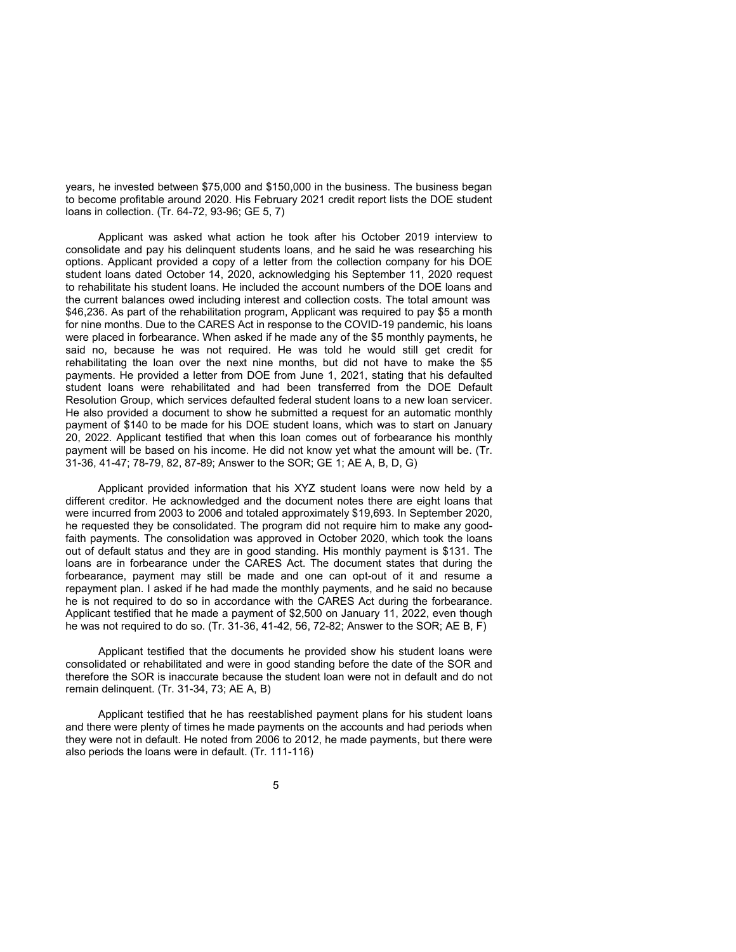years, he invested between \$75,000 and \$150,000 in the business. The business began to become profitable around 2020. His February 2021 credit report lists the DOE student loans in collection. (Tr. 64-72, 93-96; GE 5, 7)

Applicant was asked what action he took after his October 2019 interview to consolidate and pay his delinquent students loans, and he said he was researching his options. Applicant provided a copy of a letter from the collection company for his DOE student loans dated October 14, 2020, acknowledging his September 11, 2020 request to rehabilitate his student loans. He included the account numbers of the DOE loans and the current balances owed including interest and collection costs. The total amount was \$46,236. As part of the rehabilitation program, Applicant was required to pay \$5 a month for nine months. Due to the CARES Act in response to the COVID-19 pandemic, his loans were placed in forbearance. When asked if he made any of the \$5 monthly payments, he said no, because he was not required. He was told he would still get credit for rehabilitating the loan over the next nine months, but did not have to make the \$5 payments. He provided a letter from DOE from June 1, 2021, stating that his defaulted student loans were rehabilitated and had been transferred from the DOE Default Resolution Group, which services defaulted federal student loans to a new loan servicer. He also provided a document to show he submitted a request for an automatic monthly payment of \$140 to be made for his DOE student loans, which was to start on January 20, 2022. Applicant testified that when this loan comes out of forbearance his monthly payment will be based on his income. He did not know yet what the amount will be. (Tr. 31-36, 41-47; 78-79, 82, 87-89; Answer to the SOR; GE 1; AE A, B, D, G)

Applicant provided information that his XYZ student loans were now held by a different creditor. He acknowledged and the document notes there are eight loans that were incurred from 2003 to 2006 and totaled approximately \$19,693. In September 2020, he requested they be consolidated. The program did not require him to make any goodfaith payments. The consolidation was approved in October 2020, which took the loans out of default status and they are in good standing. His monthly payment is \$131. The loans are in forbearance under the CARES Act. The document states that during the forbearance, payment may still be made and one can opt-out of it and resume a repayment plan. I asked if he had made the monthly payments, and he said no because he is not required to do so in accordance with the CARES Act during the forbearance. Applicant testified that he made a payment of \$2,500 on January 11, 2022, even though he was not required to do so. (Tr. 31-36, 41-42, 56, 72-82; Answer to the SOR; AE B, F)

Applicant testified that the documents he provided show his student loans were consolidated or rehabilitated and were in good standing before the date of the SOR and therefore the SOR is inaccurate because the student loan were not in default and do not remain delinquent. (Tr. 31-34, 73; AE A, B)

Applicant testified that he has reestablished payment plans for his student loans and there were plenty of times he made payments on the accounts and had periods when they were not in default. He noted from 2006 to 2012, he made payments, but there were also periods the loans were in default. (Tr. 111-116)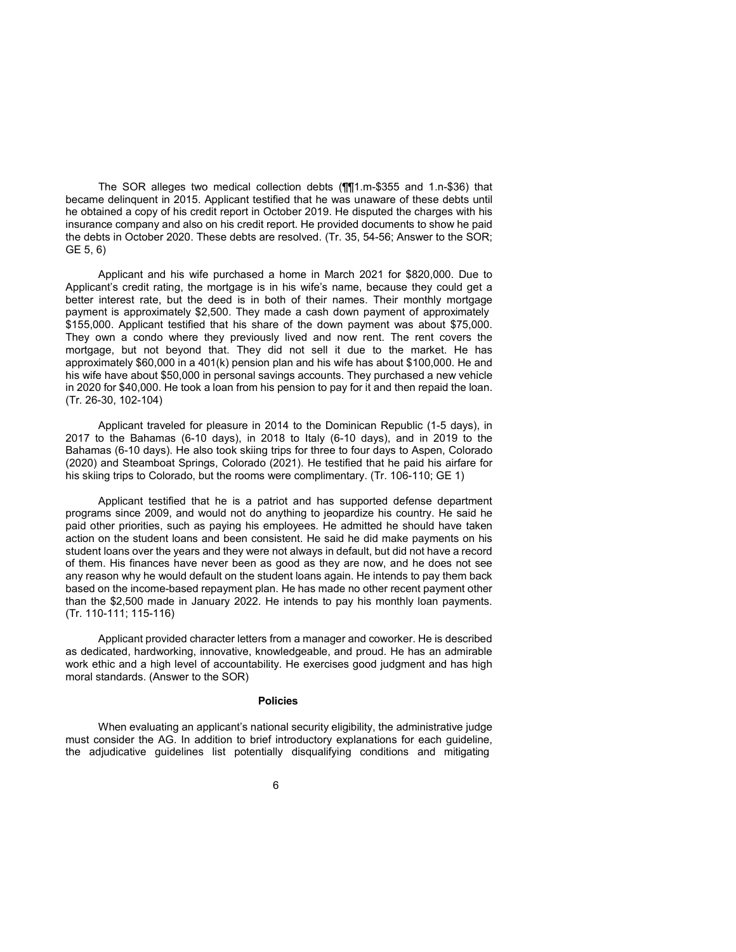The SOR alleges two medical collection debts (¶¶1.m-\$355 and 1.n-\$36) that became delinquent in 2015. Applicant testified that he was unaware of these debts until he obtained a copy of his credit report in October 2019. He disputed the charges with his insurance company and also on his credit report. He provided documents to show he paid the debts in October 2020. These debts are resolved. (Tr. 35, 54-56; Answer to the SOR; GE 5, 6)

Applicant and his wife purchased a home in March 2021 for \$820,000. Due to Applicant's credit rating, the mortgage is in his wife's name, because they could get a better interest rate, but the deed is in both of their names. Their monthly mortgage payment is approximately \$2,500. They made a cash down payment of approximately \$155,000. Applicant testified that his share of the down payment was about \$75,000. They own a condo where they previously lived and now rent. The rent covers the mortgage, but not beyond that. They did not sell it due to the market. He has approximately \$60,000 in a 401(k) pension plan and his wife has about \$100,000. He and his wife have about \$50,000 in personal savings accounts. They purchased a new vehicle in 2020 for \$40,000. He took a loan from his pension to pay for it and then repaid the loan. (Tr. 26-30, 102-104)

Applicant traveled for pleasure in 2014 to the Dominican Republic (1-5 days), in 2017 to the Bahamas (6-10 days), in 2018 to Italy (6-10 days), and in 2019 to the Bahamas (6-10 days). He also took skiing trips for three to four days to Aspen, Colorado (2020) and Steamboat Springs, Colorado (2021). He testified that he paid his airfare for his skiing trips to Colorado, but the rooms were complimentary. (Tr. 106-110; GE 1)

Applicant testified that he is a patriot and has supported defense department programs since 2009, and would not do anything to jeopardize his country. He said he paid other priorities, such as paying his employees. He admitted he should have taken action on the student loans and been consistent. He said he did make payments on his student loans over the years and they were not always in default, but did not have a record of them. His finances have never been as good as they are now, and he does not see any reason why he would default on the student loans again. He intends to pay them back based on the income-based repayment plan. He has made no other recent payment other than the \$2,500 made in January 2022. He intends to pay his monthly loan payments. (Tr. 110-111; 115-116)

Applicant provided character letters from a manager and coworker. He is described as dedicated, hardworking, innovative, knowledgeable, and proud. He has an admirable work ethic and a high level of accountability. He exercises good judgment and has high moral standards. (Answer to the SOR)

#### **Policies**

When evaluating an applicant's national security eligibility, the administrative judge must consider the AG. In addition to brief introductory explanations for each guideline, the adjudicative guidelines list potentially disqualifying conditions and mitigating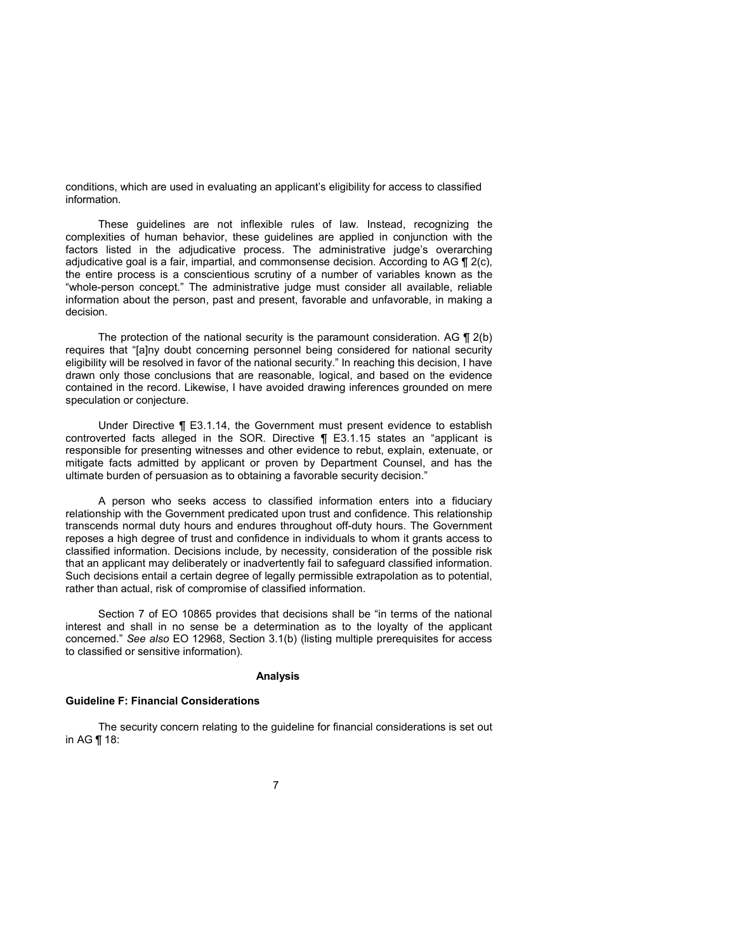conditions, which are used in evaluating an applicant's eligibility for access to classified information.

These guidelines are not inflexible rules of law. Instead, recognizing the complexities of human behavior, these guidelines are applied in conjunction with the factors listed in the adjudicative process. The administrative judge's overarching adjudicative goal is a fair, impartial, and commonsense decision. According to AG  $\P$  2(c), the entire process is a conscientious scrutiny of a number of variables known as the "whole-person concept." The administrative judge must consider all available, reliable information about the person, past and present, favorable and unfavorable, in making a decision.

The protection of the national security is the paramount consideration. AG  $\P$  2(b) requires that "[a]ny doubt concerning personnel being considered for national security eligibility will be resolved in favor of the national security." In reaching this decision, I have drawn only those conclusions that are reasonable, logical, and based on the evidence contained in the record. Likewise, I have avoided drawing inferences grounded on mere speculation or conjecture.

Under Directive ¶ E3.1.14, the Government must present evidence to establish controverted facts alleged in the SOR. Directive ¶ E3.1.15 states an "applicant is responsible for presenting witnesses and other evidence to rebut, explain, extenuate, or mitigate facts admitted by applicant or proven by Department Counsel, and has the ultimate burden of persuasion as to obtaining a favorable security decision."

A person who seeks access to classified information enters into a fiduciary relationship with the Government predicated upon trust and confidence. This relationship transcends normal duty hours and endures throughout off-duty hours. The Government reposes a high degree of trust and confidence in individuals to whom it grants access to classified information. Decisions include, by necessity, consideration of the possible risk that an applicant may deliberately or inadvertently fail to safeguard classified information. Such decisions entail a certain degree of legally permissible extrapolation as to potential, rather than actual, risk of compromise of classified information.

Section 7 of EO 10865 provides that decisions shall be "in terms of the national interest and shall in no sense be a determination as to the loyalty of the applicant concerned." *See also* EO 12968, Section 3.1(b) (listing multiple prerequisites for access to classified or sensitive information).

## **Analysis**

#### **Guideline F: Financial Considerations**

The security concern relating to the guideline for financial considerations is set out in AG ¶ 18: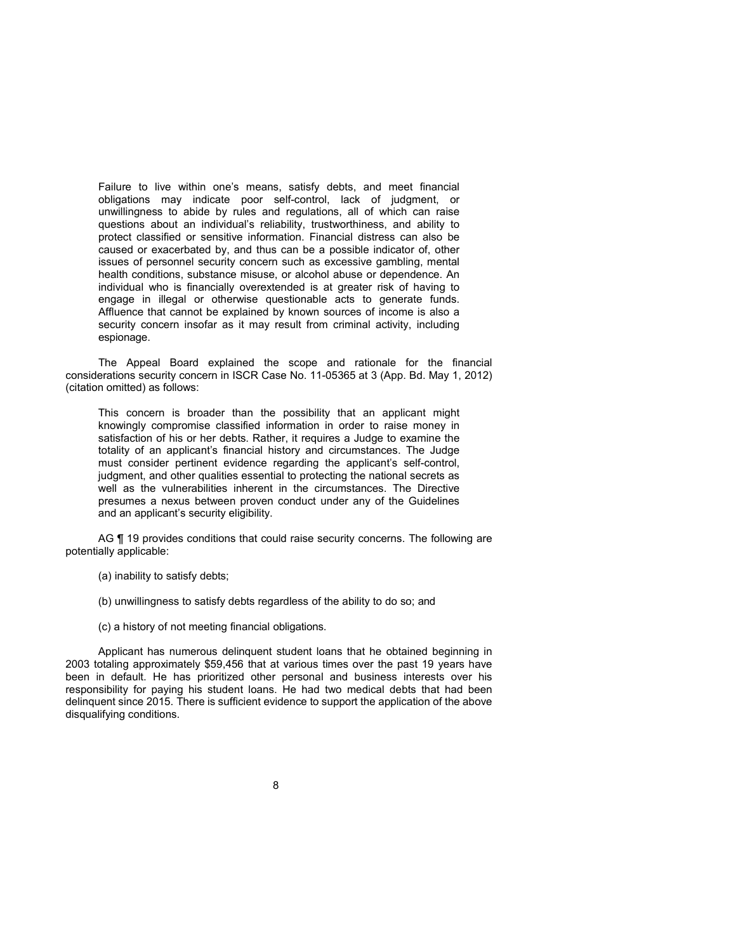Failure to live within one's means, satisfy debts, and meet financial obligations may indicate poor self-control, lack of judgment, or unwillingness to abide by rules and regulations, all of which can raise questions about an individual's reliability, trustworthiness, and ability to protect classified or sensitive information. Financial distress can also be caused or exacerbated by, and thus can be a possible indicator of, other issues of personnel security concern such as excessive gambling, mental health conditions, substance misuse, or alcohol abuse or dependence. An individual who is financially overextended is at greater risk of having to engage in illegal or otherwise questionable acts to generate funds. Affluence that cannot be explained by known sources of income is also a security concern insofar as it may result from criminal activity, including espionage.

The Appeal Board explained the scope and rationale for the financial considerations security concern in ISCR Case No. 11-05365 at 3 (App. Bd. May 1, 2012) (citation omitted) as follows:

This concern is broader than the possibility that an applicant might knowingly compromise classified information in order to raise money in satisfaction of his or her debts. Rather, it requires a Judge to examine the totality of an applicant's financial history and circumstances. The Judge must consider pertinent evidence regarding the applicant's self-control, judgment, and other qualities essential to protecting the national secrets as well as the vulnerabilities inherent in the circumstances. The Directive presumes a nexus between proven conduct under any of the Guidelines and an applicant's security eligibility.

AG ¶ 19 provides conditions that could raise security concerns. The following are potentially applicable:

- (a) inability to satisfy debts;
- (b) unwillingness to satisfy debts regardless of the ability to do so; and
- (c) a history of not meeting financial obligations.

Applicant has numerous delinquent student loans that he obtained beginning in 2003 totaling approximately \$59,456 that at various times over the past 19 years have been in default. He has prioritized other personal and business interests over his responsibility for paying his student loans. He had two medical debts that had been delinquent since 2015. There is sufficient evidence to support the application of the above disqualifying conditions.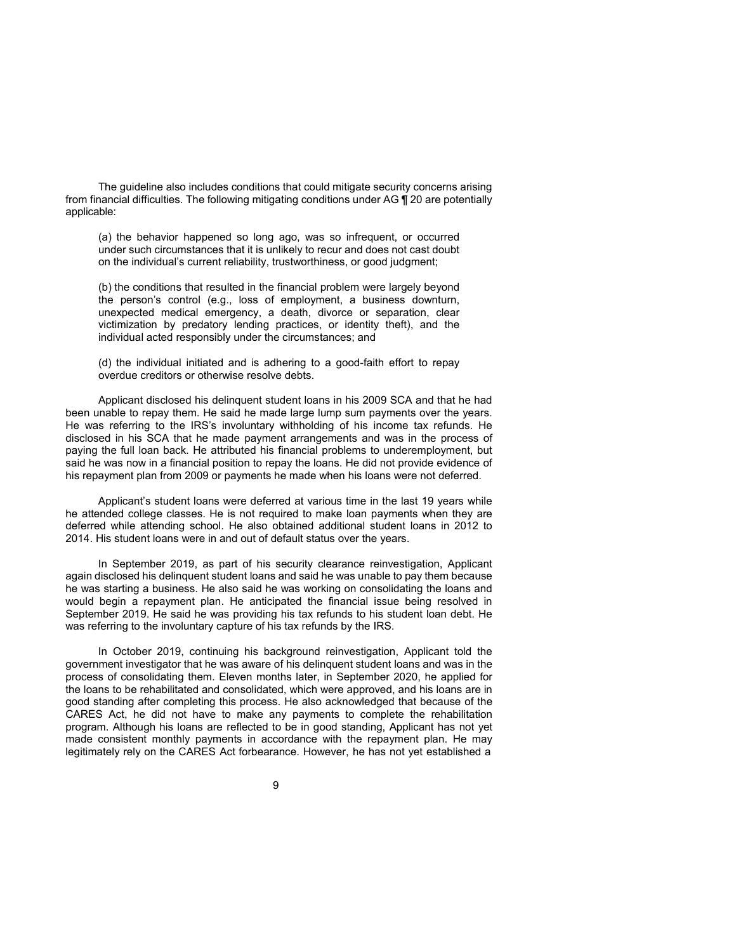The guideline also includes conditions that could mitigate security concerns arising from financial difficulties. The following mitigating conditions under AG ¶ 20 are potentially applicable:

(a) the behavior happened so long ago, was so infrequent, or occurred under such circumstances that it is unlikely to recur and does not cast doubt on the individual's current reliability, trustworthiness, or good judgment;

(b) the conditions that resulted in the financial problem were largely beyond the person's control (e.g., loss of employment, a business downturn, unexpected medical emergency, a death, divorce or separation, clear victimization by predatory lending practices, or identity theft), and the individual acted responsibly under the circumstances; and

(d) the individual initiated and is adhering to a good-faith effort to repay overdue creditors or otherwise resolve debts.

Applicant disclosed his delinquent student loans in his 2009 SCA and that he had been unable to repay them. He said he made large lump sum payments over the years. He was referring to the IRS's involuntary withholding of his income tax refunds. He disclosed in his SCA that he made payment arrangements and was in the process of paying the full loan back. He attributed his financial problems to underemployment, but said he was now in a financial position to repay the loans. He did not provide evidence of his repayment plan from 2009 or payments he made when his loans were not deferred.

Applicant's student loans were deferred at various time in the last 19 years while he attended college classes. He is not required to make loan payments when they are deferred while attending school. He also obtained additional student loans in 2012 to 2014. His student loans were in and out of default status over the years.

In September 2019, as part of his security clearance reinvestigation, Applicant again disclosed his delinquent student loans and said he was unable to pay them because he was starting a business. He also said he was working on consolidating the loans and would begin a repayment plan. He anticipated the financial issue being resolved in September 2019. He said he was providing his tax refunds to his student loan debt. He was referring to the involuntary capture of his tax refunds by the IRS.

In October 2019, continuing his background reinvestigation, Applicant told the government investigator that he was aware of his delinquent student loans and was in the process of consolidating them. Eleven months later, in September 2020, he applied for the loans to be rehabilitated and consolidated, which were approved, and his loans are in good standing after completing this process. He also acknowledged that because of the CARES Act, he did not have to make any payments to complete the rehabilitation program. Although his loans are reflected to be in good standing, Applicant has not yet made consistent monthly payments in accordance with the repayment plan. He may legitimately rely on the CARES Act forbearance. However, he has not yet established a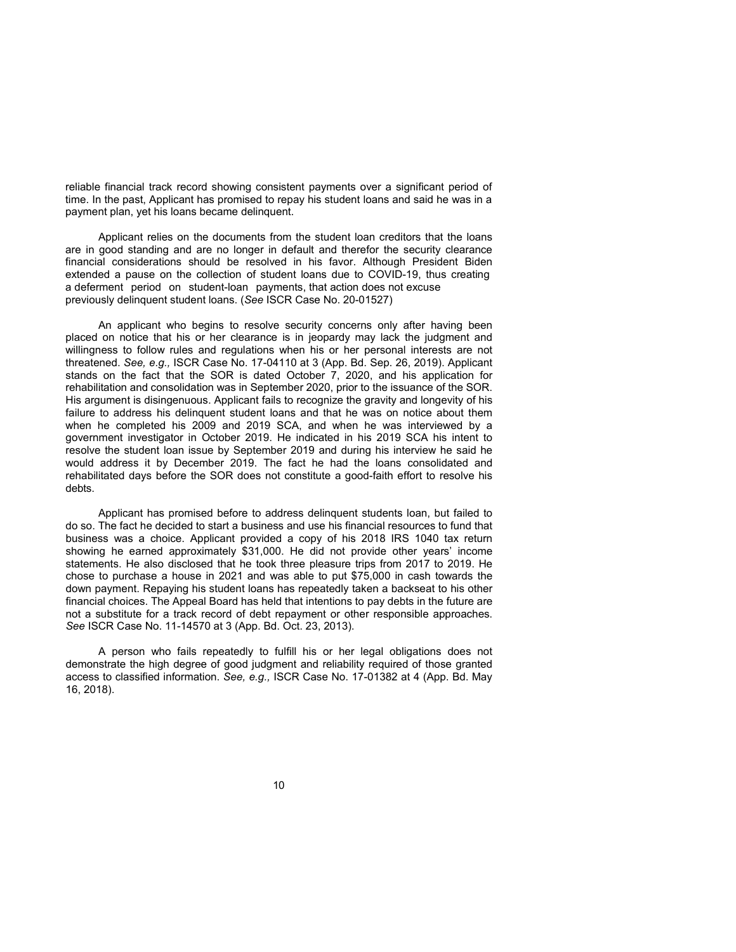reliable financial track record showing consistent payments over a significant period of time. In the past, Applicant has promised to repay his student loans and said he was in a payment plan, yet his loans became delinquent.

Applicant relies on the documents from the student loan creditors that the loans are in good standing and are no longer in default and therefor the security clearance financial considerations should be resolved in his favor. Although President Biden extended a pause on the collection of student loans due to COVID-19, thus creating a deferment period on student-loan payments, that action does not excuse previously delinquent student loans. (*See* ISCR Case No. 20-01527)

An applicant who begins to resolve security concerns only after having been placed on notice that his or her clearance is in jeopardy may lack the judgment and willingness to follow rules and regulations when his or her personal interests are not threatened. *See, e.g.,* ISCR Case No. 17-04110 at 3 (App. Bd. Sep. 26, 2019). Applicant stands on the fact that the SOR is dated October 7, 2020, and his application for rehabilitation and consolidation was in September 2020, prior to the issuance of the SOR. His argument is disingenuous. Applicant fails to recognize the gravity and longevity of his failure to address his delinquent student loans and that he was on notice about them when he completed his 2009 and 2019 SCA, and when he was interviewed by a government investigator in October 2019. He indicated in his 2019 SCA his intent to resolve the student loan issue by September 2019 and during his interview he said he would address it by December 2019. The fact he had the loans consolidated and rehabilitated days before the SOR does not constitute a good-faith effort to resolve his debts.

Applicant has promised before to address delinquent students loan, but failed to do so. The fact he decided to start a business and use his financial resources to fund that business was a choice. Applicant provided a copy of his 2018 IRS 1040 tax return showing he earned approximately \$31,000. He did not provide other years' income statements. He also disclosed that he took three pleasure trips from 2017 to 2019. He chose to purchase a house in 2021 and was able to put \$75,000 in cash towards the down payment. Repaying his student loans has repeatedly taken a backseat to his other financial choices. The Appeal Board has held that intentions to pay debts in the future are not a substitute for a track record of debt repayment or other responsible approaches. *See* ISCR Case No. 11-14570 at 3 (App. Bd. Oct. 23, 2013).

A person who fails repeatedly to fulfill his or her legal obligations does not demonstrate the high degree of good judgment and reliability required of those granted access to classified information. *See, e.g.,* ISCR Case No. 17-01382 at 4 (App. Bd. May 16, 2018).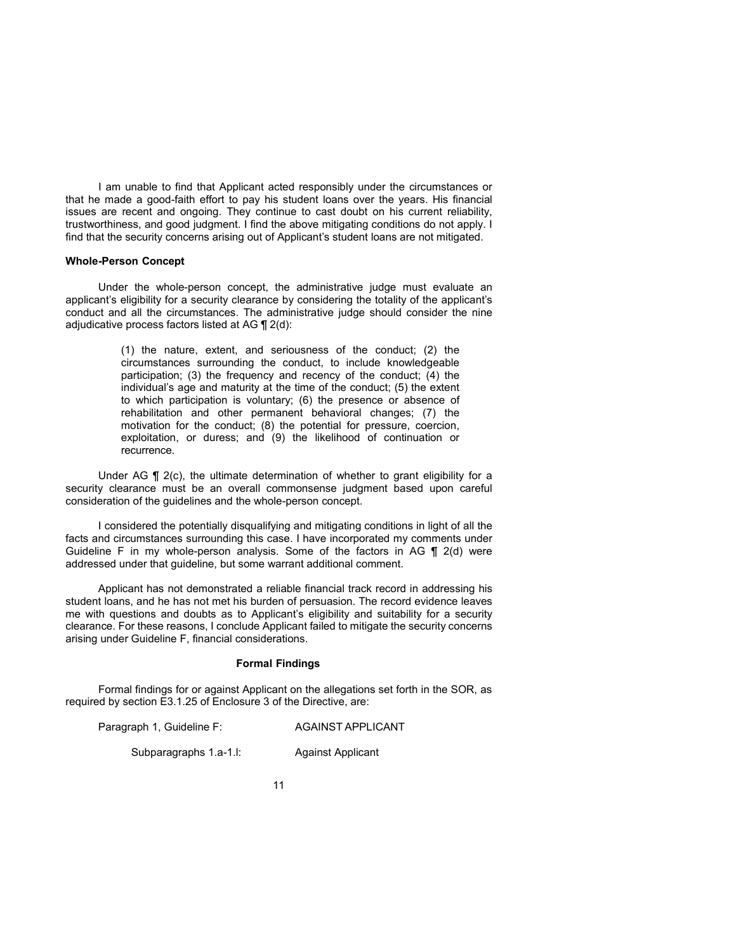I am unable to find that Applicant acted responsibly under the circumstances or that he made a good-faith effort to pay his student loans over the years. His financial issues are recent and ongoing. They continue to cast doubt on his current reliability, trustworthiness, and good judgment. I find the above mitigating conditions do not apply. I find that the security concerns arising out of Applicant's student loans are not mitigated.

### **Whole-Person Concept**

Under the whole-person concept, the administrative judge must evaluate an applicant's eligibility for a security clearance by considering the totality of the applicant's conduct and all the circumstances. The administrative judge should consider the nine adjudicative process factors listed at AG ¶ 2(d):

> (1) the nature, extent, and seriousness of the conduct; (2) the circumstances surrounding the conduct, to include knowledgeable participation; (3) the frequency and recency of the conduct; (4) the individual's age and maturity at the time of the conduct; (5) the extent to which participation is voluntary; (6) the presence or absence of rehabilitation and other permanent behavioral changes; (7) the motivation for the conduct; (8) the potential for pressure, coercion, exploitation, or duress; and (9) the likelihood of continuation or recurrence.

Under AG  $\P$  2(c), the ultimate determination of whether to grant eligibility for a security clearance must be an overall commonsense judgment based upon careful consideration of the guidelines and the whole-person concept.

I considered the potentially disqualifying and mitigating conditions in light of all the facts and circumstances surrounding this case. I have incorporated my comments under Guideline F in my whole-person analysis. Some of the factors in AG ¶ 2(d) were addressed under that guideline, but some warrant additional comment.

Applicant has not demonstrated a reliable financial track record in addressing his student loans, and he has not met his burden of persuasion. The record evidence leaves me with questions and doubts as to Applicant's eligibility and suitability for a security clearance. For these reasons, I conclude Applicant failed to mitigate the security concerns arising under Guideline F, financial considerations.

## **Formal Findings**

Formal findings for or against Applicant on the allegations set forth in the SOR, as required by section E3.1.25 of Enclosure 3 of the Directive, are:

Paragraph 1, Guideline F: AGAINST APPLICANT

Subparagraphs 1.a-1.l: Against Applicant